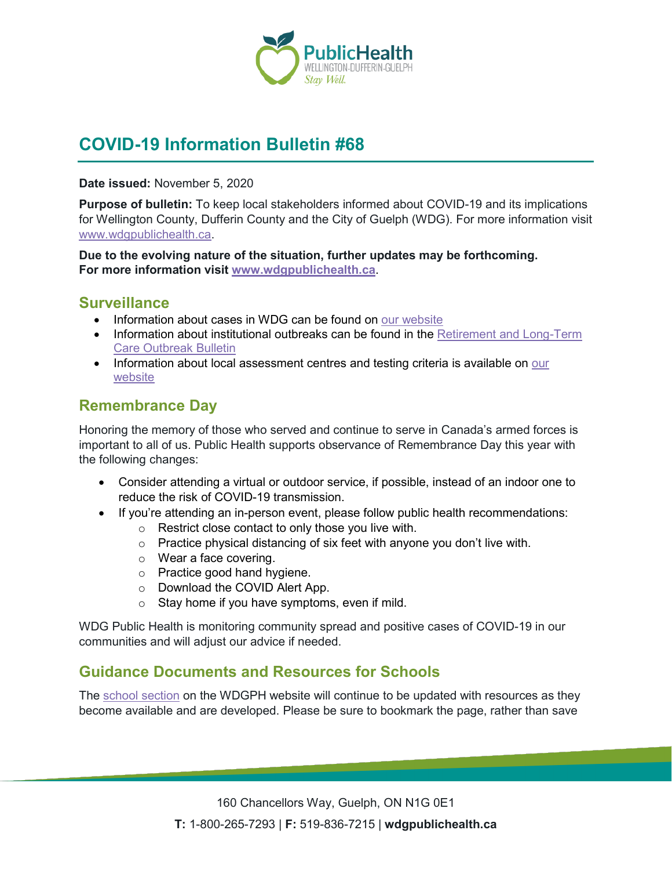

# **COVID-19 Information Bulletin #68**

**Date issued:** November 5, 2020

**Purpose of bulletin:** To keep local stakeholders informed about COVID-19 and its implications for Wellington County, Dufferin County and the City of Guelph (WDG). For more information visit [www.wdgpublichealth.ca.](http://www.wdgpublichealth.ca/)

**Due to the evolving nature of the situation, further updates may be forthcoming. For more information visit [www.wdgpublichealth.ca](http://www.wdgpublichealth.ca/)**.

#### **Surveillance**

- Information about cases in WDG can be found on [our website](https://wdgpublichealth.ca/your-health/covid-19-information-public/status-cases-wdg)
- Information about institutional outbreaks can be found in the Retirement and Long-Term [Care Outbreak Bulletin](https://wdgpublichealth.ca/node/1542)
- Information about local assessment centres and testing criteria is available on our [website](https://www.wdgpublichealth.ca/your-health/covid-19-information-public/assessment-centres-wdg)

#### **Remembrance Day**

Honoring the memory of those who served and continue to serve in Canada's armed forces is important to all of us. Public Health supports observance of Remembrance Day this year with the following changes:

- Consider attending a virtual or outdoor service, if possible, instead of an indoor one to reduce the risk of COVID-19 transmission.
- If you're attending an in-person event, please follow public health recommendations:
	- o Restrict close contact to only those you live with.
	- $\circ$  Practice physical distancing of six feet with anyone you don't live with.
	- o Wear a face covering.
	- o Practice good hand hygiene.
	- o Download the COVID Alert App.
	- $\circ$  Stay home if you have symptoms, even if mild.

WDG Public Health is monitoring community spread and positive cases of COVID-19 in our communities and will adjust our advice if needed.

## **Guidance Documents and Resources for Schools**

The [school section](https://www.wdgpublichealth.ca/your-health/covid-19-information-schools-parents-and-teachers/schools-and-post-secondary) on the WDGPH website will continue to be updated with resources as they become available and are developed. Please be sure to bookmark the page, rather than save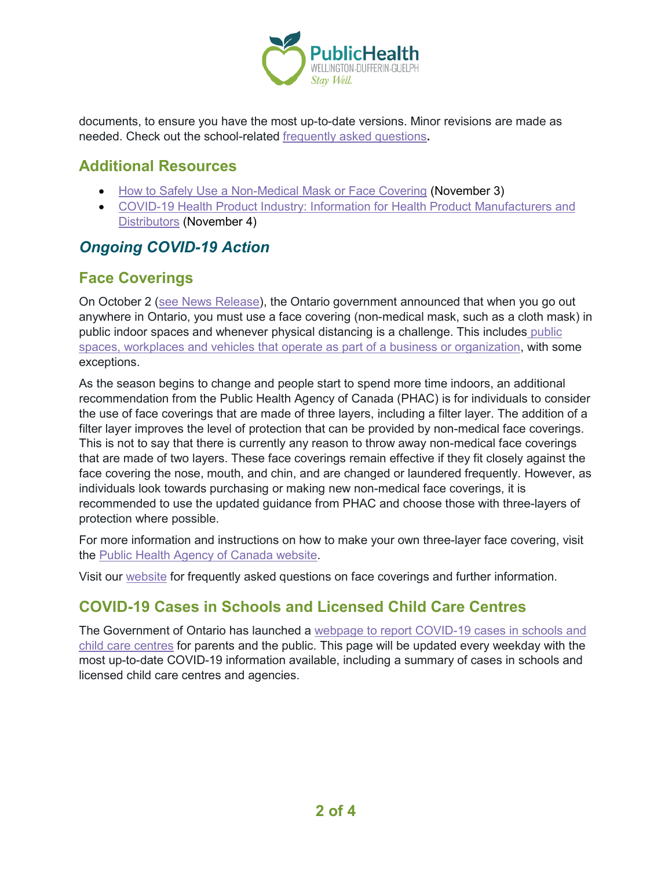

documents, to ensure you have the most up-to-date versions. Minor revisions are made as needed. Check out the school-related [frequently asked questions](https://www.wdgpublichealth.ca/your-health/covid-19-information-schools-parents-and-teachers/schools-frequently-asked-questions)**.**

#### **Additional Resources**

- [How to Safely Use a Non-Medical Mask or Face Covering](https://www.canada.ca/en/public-health/services/publications/diseases-conditions/covid-19-safely-use-non-medical-mask-face-covering.html) (November 3)
- [COVID-19 Health Product Industry: Information for Health Product Manufacturers and](https://www.canada.ca/en/health-canada/services/drugs-health-products/covid19-industry.html)  [Distributors](https://www.canada.ca/en/health-canada/services/drugs-health-products/covid19-industry.html) (November 4)

# *Ongoing COVID-19 Action*

## **Face Coverings**

On October 2 [\(see News Release\)](https://news.ontario.ca/en/release/58645/ontario-implementing-additional-public-health-and-testing-measures-to-keep-people-safe), the Ontario government announced that when you go out anywhere in Ontario, you must use a face covering (non-medical mask, such as a cloth mask) in [public](https://www.ontario.ca/page/face-coverings-and-face-masks) indoor spaces and whenever physical distancing is a challenge. This includes public [spaces, workplaces and vehicles that operate as part of a business or organization,](https://www.ontario.ca/page/face-coverings-and-face-masks) with some exceptions.

As the season begins to change and people start to spend more time indoors, an additional recommendation from the Public Health Agency of Canada (PHAC) is for individuals to consider the use of face coverings that are made of three layers, including a filter layer. The addition of a filter layer improves the level of protection that can be provided by non-medical face coverings. This is not to say that there is currently any reason to throw away non-medical face coverings that are made of two layers. These face coverings remain effective if they fit closely against the face covering the nose, mouth, and chin, and are changed or laundered frequently. However, as individuals look towards purchasing or making new non-medical face coverings, it is recommended to use the updated guidance from PHAC and choose those with three-layers of protection where possible.

For more information and instructions on how to make your own three-layer face covering, visit the [Public Health Agency](https://www.canada.ca/en/public-health/services/diseases/2019-novel-coronavirus-infection/prevention-risks/sew-no-sew-instructions-non-medical-masks-face-coverings.html) of Canada website.

Visit our [website](https://www.wdgpublichealth.ca/your-health/covid-19-information-public/face-coverings) for frequently asked questions on face coverings and further information.

## **COVID-19 Cases in Schools and Licensed Child Care Centres**

The Government of Ontario has launched a [webpage to report COVID-19 cases in schools and](https://www.ontario.ca/page/covid-19-cases-schools-and-child-care-centres)  [child care centres](https://www.ontario.ca/page/covid-19-cases-schools-and-child-care-centres) for parents and the public. This page will be updated every weekday with the most up-to-date COVID-19 information available, including a summary of cases in schools and licensed child care centres and agencies.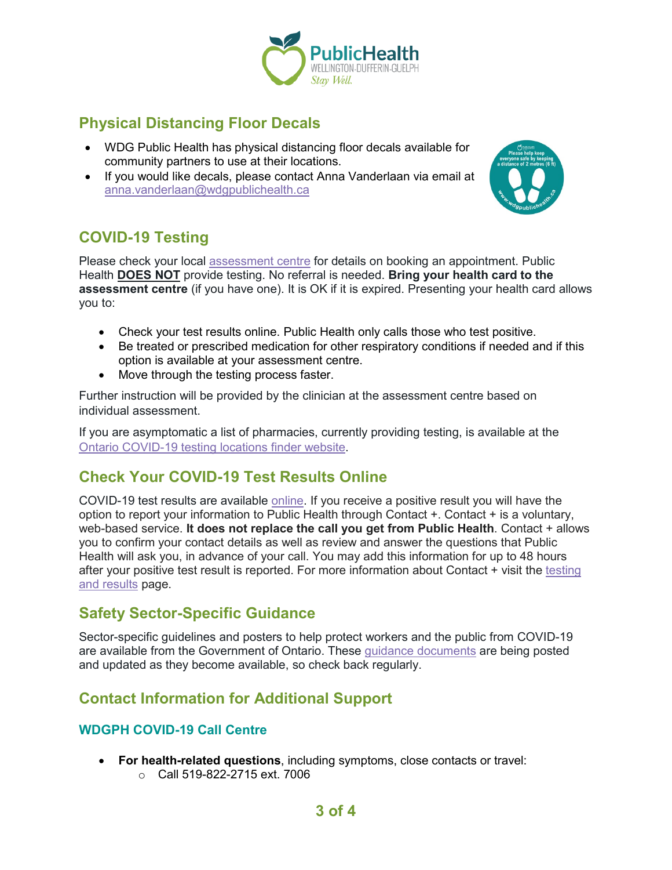

# **Physical Distancing Floor Decals**

- WDG Public Health has physical distancing floor decals available for community partners to use at their locations.
- If you would like decals, please contact Anna Vanderlaan via email at [anna.vanderlaan@wdgpublichealth.ca](mailto:anna.vanderlaan@wdgpublichealth.ca)



# **COVID-19 Testing**

Please check your local [assessment centre](https://wdgpublichealth.ca/your-health/covid-19-information-public/assessment-centres-wdg) for details on booking an appointment. Public Health **DOES NOT** provide testing. No referral is needed. **Bring your health card to the assessment centre** (if you have one). It is OK if it is expired. Presenting your health card allows you to:

- Check your test results online. Public Health only calls those who test positive.
- Be treated or prescribed medication for other respiratory conditions if needed and if this option is available at your assessment centre.
- Move through the testing process faster.

Further instruction will be provided by the clinician at the assessment centre based on individual assessment.

If you are asymptomatic a list of pharmacies, currently providing testing, is available at the [Ontario COVID-19 testing locations finder website.](https://covid-19.ontario.ca/assessment-centre-locations/)

## **Check Your COVID-19 Test Results Online**

COVID-19 test results are available [online.](https://covid19results.ehealthontario.ca:4443/agree) If you receive a positive result you will have the option to report your information to Public Health through Contact +. Contact + is a voluntary, web-based service. **It does not replace the call you get from Public Health**. Contact + allows you to confirm your contact details as well as review and answer the questions that Public Health will ask you, in advance of your call. You may add this information for up to 48 hours after your positive test result is reported. For more information about Contact + visit the [testing](https://www.wdgpublichealth.ca/your-health/covid-19-information-public/testing-and-results)  [and results](https://www.wdgpublichealth.ca/your-health/covid-19-information-public/testing-and-results) page.

#### **Safety Sector-Specific Guidance**

Sector-specific guidelines and posters to help protect workers and the public from COVID-19 are available from the Government of Ontario. These [guidance documents](https://www.ontario.ca/page/resources-prevent-covid-19-workplace) are being posted and updated as they become available, so check back regularly.

## **Contact Information for Additional Support**

#### **WDGPH COVID-19 Call Centre**

- **For health-related questions**, including symptoms, close contacts or travel:
	- o Call 519-822-2715 ext. 7006